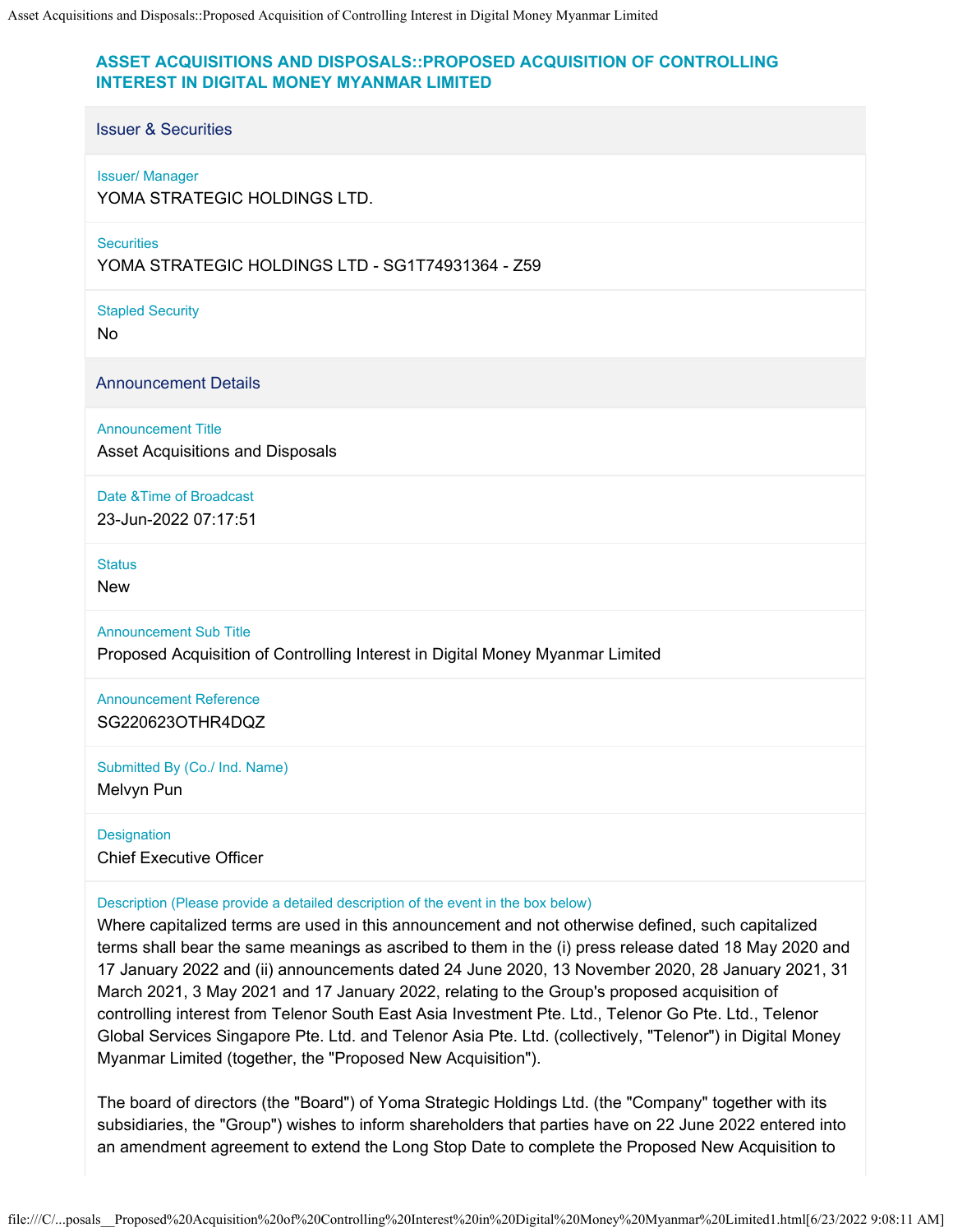## **ASSET ACQUISITIONS AND DISPOSALS::PROPOSED ACQUISITION OF CONTROLLING INTEREST IN DIGITAL MONEY MYANMAR LIMITED**

## Issuer & Securities

## Issuer/ Manager

YOMA STRATEGIC HOLDINGS LTD.

**Securities** 

YOMA STRATEGIC HOLDINGS LTD - SG1T74931364 - Z59

Stapled Security

No

Announcement Details

Announcement Title

Asset Acquisitions and Disposals

Date &Time of Broadcast

23-Jun-2022 07:17:51

**Status** 

New

Announcement Sub Title

Proposed Acquisition of Controlling Interest in Digital Money Myanmar Limited

Announcement Reference SG220623OTHR4DQZ

Submitted By (Co./ Ind. Name) Melvyn Pun

**Designation** Chief Executive Officer

Description (Please provide a detailed description of the event in the box below)

Where capitalized terms are used in this announcement and not otherwise defined, such capitalized terms shall bear the same meanings as ascribed to them in the (i) press release dated 18 May 2020 and 17 January 2022 and (ii) announcements dated 24 June 2020, 13 November 2020, 28 January 2021, 31 March 2021, 3 May 2021 and 17 January 2022, relating to the Group's proposed acquisition of controlling interest from Telenor South East Asia Investment Pte. Ltd., Telenor Go Pte. Ltd., Telenor Global Services Singapore Pte. Ltd. and Telenor Asia Pte. Ltd. (collectively, "Telenor") in Digital Money Myanmar Limited (together, the "Proposed New Acquisition").

The board of directors (the "Board") of Yoma Strategic Holdings Ltd. (the "Company" together with its subsidiaries, the "Group") wishes to inform shareholders that parties have on 22 June 2022 entered into an amendment agreement to extend the Long Stop Date to complete the Proposed New Acquisition to